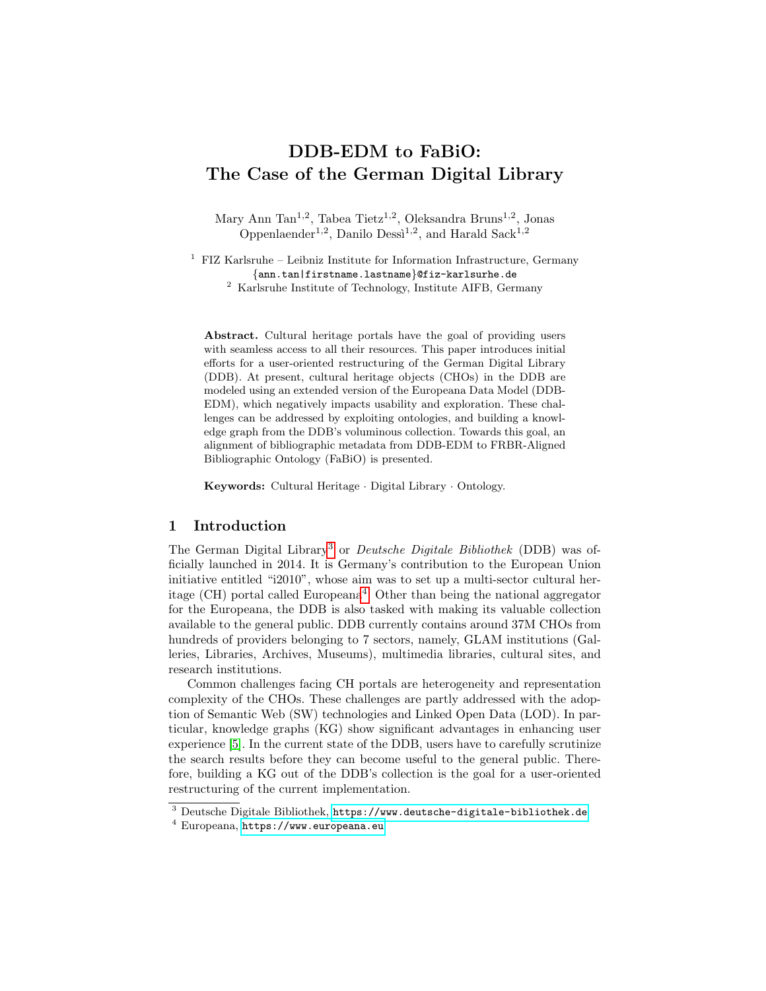# DDB-EDM to FaBiO: The Case of the German Digital Library

Mary Ann Tan<sup>1,2</sup>, Tabea Tietz<sup>1,2</sup>, Oleksandra Bruns<sup>1,2</sup>, Jonas Oppenlaender<sup>1,2</sup>, Danilo Dessi<sup>1,2</sup>, and Harald Sack<sup>1,2</sup>

 $1$  FIZ Karlsruhe – Leibniz Institute for Information Infrastructure, Germany {ann.tan|firstname.lastname}@fiz-karlsurhe.de <sup>2</sup> Karlsruhe Institute of Technology, Institute AIFB, Germany

Abstract. Cultural heritage portals have the goal of providing users with seamless access to all their resources. This paper introduces initial efforts for a user-oriented restructuring of the German Digital Library (DDB). At present, cultural heritage objects (CHOs) in the DDB are modeled using an extended version of the Europeana Data Model (DDB-EDM), which negatively impacts usability and exploration. These challenges can be addressed by exploiting ontologies, and building a knowledge graph from the DDB's voluminous collection. Towards this goal, an alignment of bibliographic metadata from DDB-EDM to FRBR-Aligned Bibliographic Ontology (FaBiO) is presented.

Keywords: Cultural Heritage · Digital Library · Ontology.

### 1 Introduction

The German Digital Library[3](#page-0-0) or Deutsche Digitale Bibliothek (DDB) was officially launched in 2014. It is Germany's contribution to the European Union initiative entitled "i2010", whose aim was to set up a multi-sector cultural her-itage (CH) portal called Europeana<sup>[4](#page-0-1)</sup>. Other than being the national aggregator for the Europeana, the DDB is also tasked with making its valuable collection available to the general public. DDB currently contains around 37M CHOs from hundreds of providers belonging to 7 sectors, namely, GLAM institutions (Galleries, Libraries, Archives, Museums), multimedia libraries, cultural sites, and research institutions.

Common challenges facing CH portals are heterogeneity and representation complexity of the CHOs. These challenges are partly addressed with the adoption of Semantic Web (SW) technologies and Linked Open Data (LOD). In particular, knowledge graphs (KG) show significant advantages in enhancing user experience [\[5\]](#page-3-0). In the current state of the DDB, users have to carefully scrutinize the search results before they can become useful to the general public. Therefore, building a KG out of the DDB's collection is the goal for a user-oriented restructuring of the current implementation.

<span id="page-0-0"></span><sup>3</sup> Deutsche Digitale Bibliothek, <https://www.deutsche-digitale-bibliothek.de> <sup>4</sup> Europeana, <https://www.europeana.eu>

<span id="page-0-1"></span>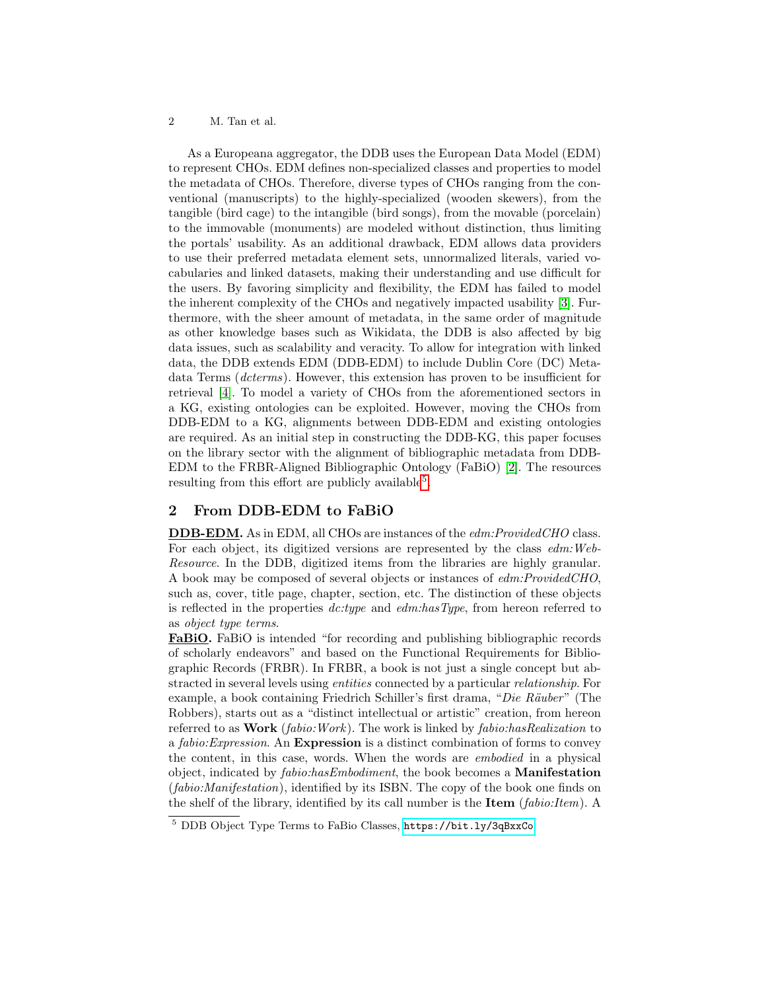#### 2 M. Tan et al.

As a Europeana aggregator, the DDB uses the European Data Model (EDM) to represent CHOs. EDM defines non-specialized classes and properties to model the metadata of CHOs. Therefore, diverse types of CHOs ranging from the conventional (manuscripts) to the highly-specialized (wooden skewers), from the tangible (bird cage) to the intangible (bird songs), from the movable (porcelain) to the immovable (monuments) are modeled without distinction, thus limiting the portals' usability. As an additional drawback, EDM allows data providers to use their preferred metadata element sets, unnormalized literals, varied vocabularies and linked datasets, making their understanding and use difficult for the users. By favoring simplicity and flexibility, the EDM has failed to model the inherent complexity of the CHOs and negatively impacted usability [\[3\]](#page-3-1). Furthermore, with the sheer amount of metadata, in the same order of magnitude as other knowledge bases such as Wikidata, the DDB is also affected by big data issues, such as scalability and veracity. To allow for integration with linked data, the DDB extends EDM (DDB-EDM) to include Dublin Core (DC) Metadata Terms (dcterms). However, this extension has proven to be insufficient for retrieval [\[4\]](#page-3-2). To model a variety of CHOs from the aforementioned sectors in a KG, existing ontologies can be exploited. However, moving the CHOs from DDB-EDM to a KG, alignments between DDB-EDM and existing ontologies are required. As an initial step in constructing the DDB-KG, this paper focuses on the library sector with the alignment of bibliographic metadata from DDB-EDM to the FRBR-Aligned Bibliographic Ontology (FaBiO) [\[2\]](#page-3-3). The resources resulting from this effort are publicly available<sup>[5](#page-1-0)</sup>.

## 2 From DDB-EDM to FaBiO

DDB-EDM. As in EDM, all CHOs are instances of the edm:ProvidedCHO class. For each object, its digitized versions are represented by the class edm:Web-Resource. In the DDB, digitized items from the libraries are highly granular. A book may be composed of several objects or instances of edm:ProvidedCHO, such as, cover, title page, chapter, section, etc. The distinction of these objects is reflected in the properties  $\text{d}c.\text{type}$  and  $\text{ed}m.\text{hasType}$ , from hereon referred to as object type terms.

FaBiO. FaBiO is intended "for recording and publishing bibliographic records of scholarly endeavors" and based on the Functional Requirements for Bibliographic Records (FRBR). In FRBR, a book is not just a single concept but abstracted in several levels using entities connected by a particular relationship. For example, a book containing Friedrich Schiller's first drama, "Die Räuber" (The Robbers), starts out as a "distinct intellectual or artistic" creation, from hereon referred to as **Work** (*fabio:Work*). The work is linked by *fabio:hasRealization* to a fabio:Expression. An Expression is a distinct combination of forms to convey the content, in this case, words. When the words are embodied in a physical object, indicated by *fabio:hasEmbodiment*, the book becomes a **Manifestation** (fabio:Manifestation), identified by its ISBN. The copy of the book one finds on the shelf of the library, identified by its call number is the **Item**  $(fabio:Item)$ . A

<span id="page-1-0"></span><sup>5</sup> DDB Object Type Terms to FaBio Classes, <https://bit.ly/3qBxxCo>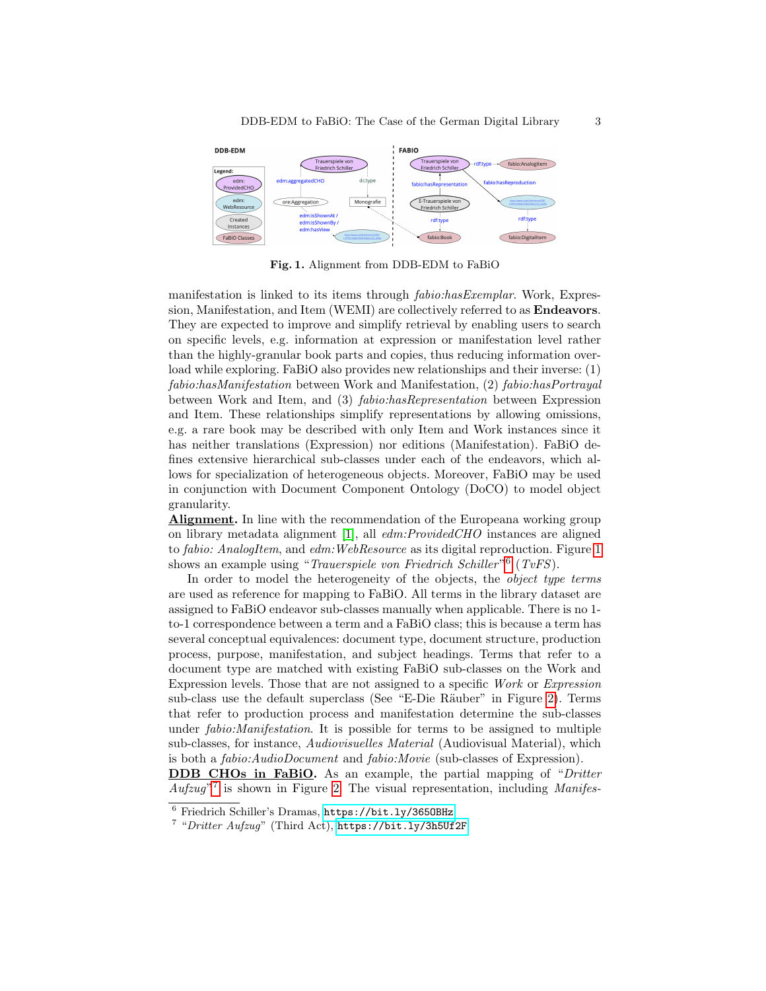

<span id="page-2-0"></span>Fig. 1. Alignment from DDB-EDM to FaBiO

manifestation is linked to its items through fabio:hasExemplar. Work, Expression, Manifestation, and Item (WEMI) are collectively referred to as Endeavors. They are expected to improve and simplify retrieval by enabling users to search on specific levels, e.g. information at expression or manifestation level rather than the highly-granular book parts and copies, thus reducing information overload while exploring. FaBiO also provides new relationships and their inverse: (1) fabio:hasManifestation between Work and Manifestation, (2) fabio:hasPortrayal between Work and Item, and (3) fabio:hasRepresentation between Expression and Item. These relationships simplify representations by allowing omissions, e.g. a rare book may be described with only Item and Work instances since it has neither translations (Expression) nor editions (Manifestation). FaBiO defines extensive hierarchical sub-classes under each of the endeavors, which allows for specialization of heterogeneous objects. Moreover, FaBiO may be used in conjunction with Document Component Ontology (DoCO) to model object granularity.

Alignment. In line with the recommendation of the Europeana working group on library metadata alignment [\[1\]](#page-3-4), all edm:ProvidedCHO instances are aligned to fabio: AnalogItem, and edm: WebResource as its digital reproduction. Figure [1](#page-2-0) shows an example using "Trauerspiele von Friedrich Schiller"<sup>[6](#page-2-1)</sup> (TvFS).

In order to model the heterogeneity of the objects, the *object type terms* are used as reference for mapping to FaBiO. All terms in the library dataset are assigned to FaBiO endeavor sub-classes manually when applicable. There is no 1 to-1 correspondence between a term and a FaBiO class; this is because a term has several conceptual equivalences: document type, document structure, production process, purpose, manifestation, and subject headings. Terms that refer to a document type are matched with existing FaBiO sub-classes on the Work and Expression levels. Those that are not assigned to a specific Work or Expression sub-class use the default superclass (See "E-Die Räuber" in Figure [2\)](#page-3-5). Terms that refer to production process and manifestation determine the sub-classes under fabio:Manifestation. It is possible for terms to be assigned to multiple sub-classes, for instance, Audiovisuelles Material (Audiovisual Material), which is both a fabio:AudioDocument and fabio:Movie (sub-classes of Expression).

DDB CHOs in FaBiO. As an example, the partial mapping of "Dritter" Aufzug"<sup>[7](#page-2-2)</sup> is shown in Figure [2.](#page-3-5) The visual representation, including Manifes-

<span id="page-2-1"></span><sup>6</sup> Friedrich Schiller's Dramas, <https://bit.ly/365OBHz>

<span id="page-2-2"></span><sup>&</sup>lt;sup>7</sup> "Dritter Aufzug" (Third Act), <https://bit.ly/3h5Uf2F>